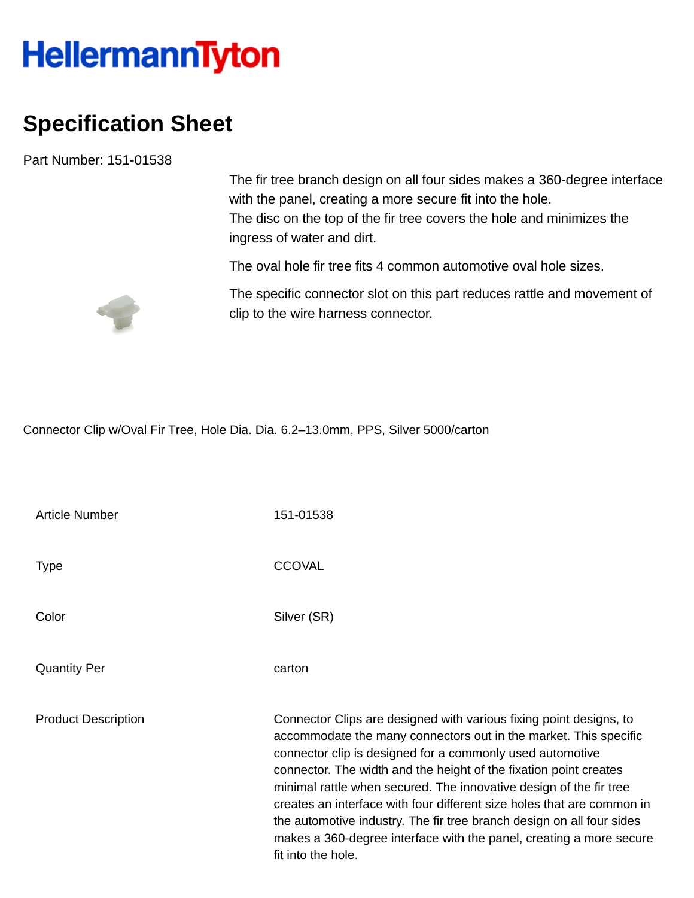## **HellermannTyton**

## **Specification Sheet**

Part Number: 151-01538

The fir tree branch design on all four sides makes a 360-degree interface with the panel, creating a more secure fit into the hole. The disc on the top of the fir tree covers the hole and minimizes the ingress of water and dirt.

The oval hole fir tree fits 4 common automotive oval hole sizes.



The specific connector slot on this part reduces rattle and movement of clip to the wire harness connector.

Connector Clip w/Oval Fir Tree, Hole Dia. Dia. 6.2–13.0mm, PPS, Silver 5000/carton

| <b>Article Number</b>      | 151-01538                                                                                                                                                                                                                                                                                                                                                                                                                                                                                                                                                                                      |
|----------------------------|------------------------------------------------------------------------------------------------------------------------------------------------------------------------------------------------------------------------------------------------------------------------------------------------------------------------------------------------------------------------------------------------------------------------------------------------------------------------------------------------------------------------------------------------------------------------------------------------|
| <b>Type</b>                | <b>CCOVAL</b>                                                                                                                                                                                                                                                                                                                                                                                                                                                                                                                                                                                  |
| Color                      | Silver (SR)                                                                                                                                                                                                                                                                                                                                                                                                                                                                                                                                                                                    |
| <b>Quantity Per</b>        | carton                                                                                                                                                                                                                                                                                                                                                                                                                                                                                                                                                                                         |
| <b>Product Description</b> | Connector Clips are designed with various fixing point designs, to<br>accommodate the many connectors out in the market. This specific<br>connector clip is designed for a commonly used automotive<br>connector. The width and the height of the fixation point creates<br>minimal rattle when secured. The innovative design of the fir tree<br>creates an interface with four different size holes that are common in<br>the automotive industry. The fir tree branch design on all four sides<br>makes a 360-degree interface with the panel, creating a more secure<br>fit into the hole. |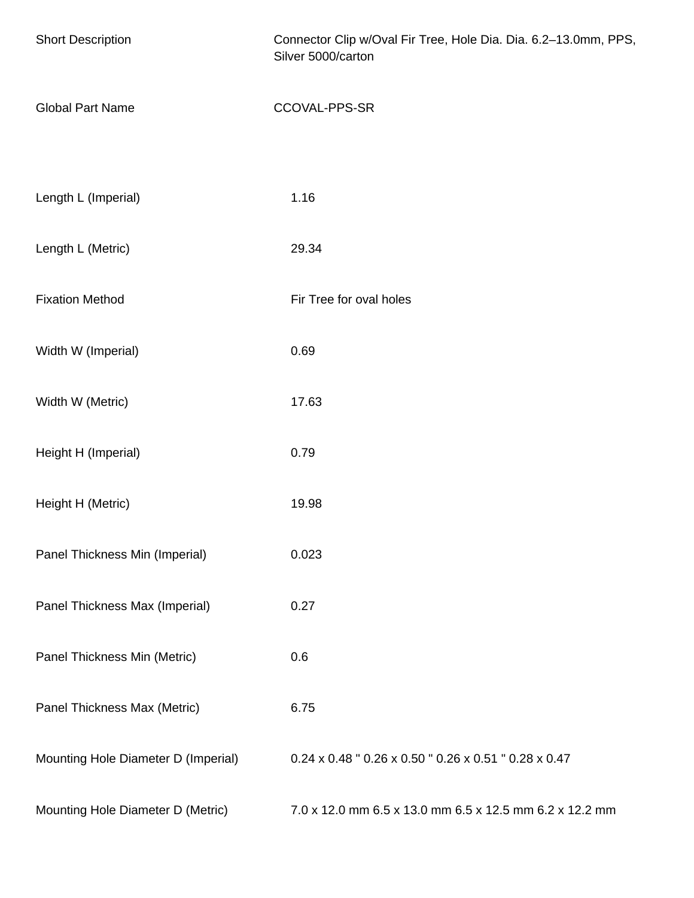| <b>Short Description</b>            | Connector Clip w/Oval Fir Tree, Hole Dia. Dia. 6.2-13.0mm, PPS,<br>Silver 5000/carton |
|-------------------------------------|---------------------------------------------------------------------------------------|
| <b>Global Part Name</b>             | CCOVAL-PPS-SR                                                                         |
| Length L (Imperial)                 | 1.16                                                                                  |
| Length L (Metric)                   | 29.34                                                                                 |
| <b>Fixation Method</b>              | Fir Tree for oval holes                                                               |
| Width W (Imperial)                  | 0.69                                                                                  |
| Width W (Metric)                    | 17.63                                                                                 |
| Height H (Imperial)                 | 0.79                                                                                  |
| Height H (Metric)                   | 19.98                                                                                 |
| Panel Thickness Min (Imperial)      | 0.023                                                                                 |
| Panel Thickness Max (Imperial)      | 0.27                                                                                  |
| Panel Thickness Min (Metric)        | 0.6                                                                                   |
| Panel Thickness Max (Metric)        | 6.75                                                                                  |
| Mounting Hole Diameter D (Imperial) | 0.24 x 0.48 " 0.26 x 0.50 " 0.26 x 0.51 " 0.28 x 0.47                                 |
| Mounting Hole Diameter D (Metric)   | 7.0 x 12.0 mm 6.5 x 13.0 mm 6.5 x 12.5 mm 6.2 x 12.2 mm                               |